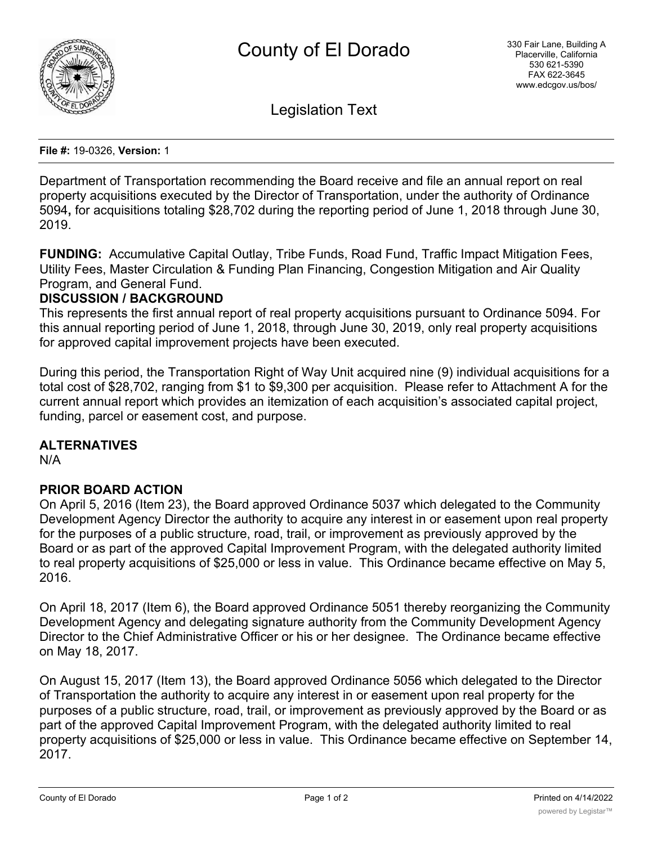

Legislation Text

**File #:** 19-0326, **Version:** 1

Department of Transportation recommending the Board receive and file an annual report on real property acquisitions executed by the Director of Transportation, under the authority of Ordinance 5094**,** for acquisitions totaling \$28,702 during the reporting period of June 1, 2018 through June 30, 2019.

**FUNDING:** Accumulative Capital Outlay, Tribe Funds, Road Fund, Traffic Impact Mitigation Fees, Utility Fees, Master Circulation & Funding Plan Financing, Congestion Mitigation and Air Quality Program, and General Fund.

### **DISCUSSION / BACKGROUND**

This represents the first annual report of real property acquisitions pursuant to Ordinance 5094. For this annual reporting period of June 1, 2018, through June 30, 2019, only real property acquisitions for approved capital improvement projects have been executed.

During this period, the Transportation Right of Way Unit acquired nine (9) individual acquisitions for a total cost of \$28,702, ranging from \$1 to \$9,300 per acquisition. Please refer to Attachment A for the current annual report which provides an itemization of each acquisition's associated capital project, funding, parcel or easement cost, and purpose.

# **ALTERNATIVES**

N/A

# **PRIOR BOARD ACTION**

On April 5, 2016 (Item 23), the Board approved Ordinance 5037 which delegated to the Community Development Agency Director the authority to acquire any interest in or easement upon real property for the purposes of a public structure, road, trail, or improvement as previously approved by the Board or as part of the approved Capital Improvement Program, with the delegated authority limited to real property acquisitions of \$25,000 or less in value. This Ordinance became effective on May 5, 2016.

On April 18, 2017 (Item 6), the Board approved Ordinance 5051 thereby reorganizing the Community Development Agency and delegating signature authority from the Community Development Agency Director to the Chief Administrative Officer or his or her designee. The Ordinance became effective on May 18, 2017.

On August 15, 2017 (Item 13), the Board approved Ordinance 5056 which delegated to the Director of Transportation the authority to acquire any interest in or easement upon real property for the purposes of a public structure, road, trail, or improvement as previously approved by the Board or as part of the approved Capital Improvement Program, with the delegated authority limited to real property acquisitions of \$25,000 or less in value. This Ordinance became effective on September 14, 2017.